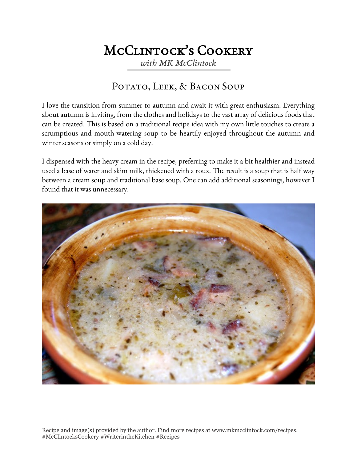# McClintock's Cookery

*with MK McClintock*

### POTATO, LEEK, & BACON SOUP

I love the transition from summer to autumn and await it with great enthusiasm. Everything about autumn is inviting, from the clothes and holidays to the vast array of delicious foods that can be created. This is based on a traditional recipe idea with my own little touches to create a scrumptious and mouth-watering soup to be heartily enjoyed throughout the autumn and winter seasons or simply on a cold day.

I dispensed with the heavy cream in the recipe, preferring to make it a bit healthier and instead used a base of water and skim milk, thickened with a roux. The result is a soup that is half way between a cream soup and traditional base soup. One can add additional seasonings, however I found that it was unnecessary.



Recipe and image(s) provided by the author. Find more recipes at www.mkmcclintock.com/recipes. #McClintocksCookery #WriterintheKitchen #Recipes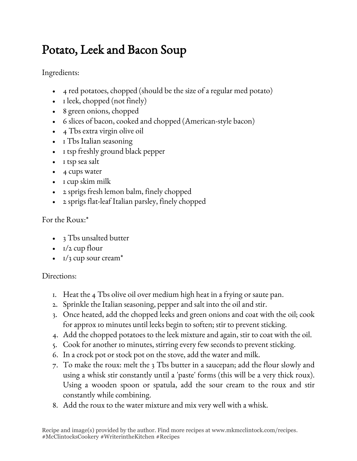# Potato, Leek and Bacon Soup

Ingredients:

- 4 red potatoes, chopped (should be the size of a regular med potato)
- I leek, chopped (not finely)
- 8 green onions, chopped
- 6 slices of bacon, cooked and chopped (American-style bacon)
- 4 Tbs extra virgin olive oil
- I Tbs Italian seasoning
- I tsp freshly ground black pepper
- I tsp sea salt
- 4 cups water
- I cup skim milk
- 2 sprigs fresh lemon balm, finely chopped
- 2 sprigs flat-leaf Italian parsley, finely chopped

### For the Roux:\*

- 3 Tbs unsalted butter
- $\cdot$   $I/2$  cup flour
- $1/3$  cup sour cream<sup>\*</sup>

### Directions:

- 1. Heat the 4 Tbs olive oil over medium high heat in a frying or saute pan.
- 2. Sprinkle the Italian seasoning, pepper and salt into the oil and stir.
- 3. Once heated, add the chopped leeks and green onions and coat with the oil; cook for approx 10 minutes until leeks begin to soften; stir to prevent sticking.
- 4. Add the chopped potatoes to the leek mixture and again, stir to coat with the oil.
- 5. Cook for another 10 minutes, stirring every few seconds to prevent sticking.
- 6. In a crock pot or stock pot on the stove, add the water and milk.
- 7. To make the roux: melt the 3 Tbs butter in a saucepan; add the flour slowly and using a whisk stir constantly until a 'paste' forms (this will be a very thick roux). Using a wooden spoon or spatula, add the sour cream to the roux and stir constantly while combining.
- 8. Add the roux to the water mixture and mix very well with a whisk.